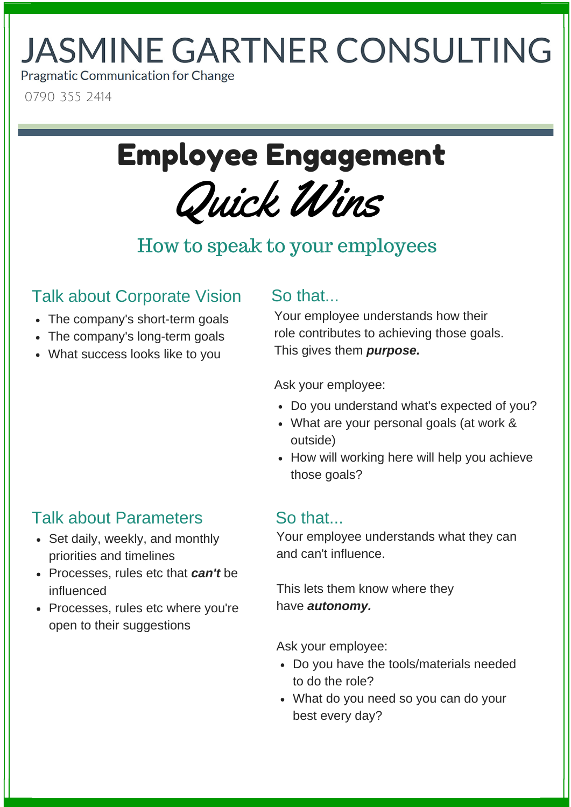# **JASMINE GARTNER CONSULTING**

**Pragmatic Communication for Change** 

0790 355 2414

# Quick Wins Employee Engagement

## How to speak to your employees

### Talk about Corporate Vision

- The company's short-term goals
- The company's long-term goals
- What success looks like to you

#### So that...

Your employee understands how their role contributes to achieving those goals. This gives them *purpose.*

Ask your employee:

- Do you understand what's expected of you?
- What are your personal goals (at work & outside)
- How will working here will help you achieve those goals?

### Talk about Parameters

- Set daily, weekly, and monthly priorities and timelines
- Processes, rules etc that *can't* be influenced
- Processes, rules etc where you're open to their suggestions

#### So that...

Your employee understands what they can and can't influence.

This lets them know where they have *autonomy.*

Ask your employee:

- Do you have the tools/materials needed to do the role?
- What do you need so you can do your best every day?